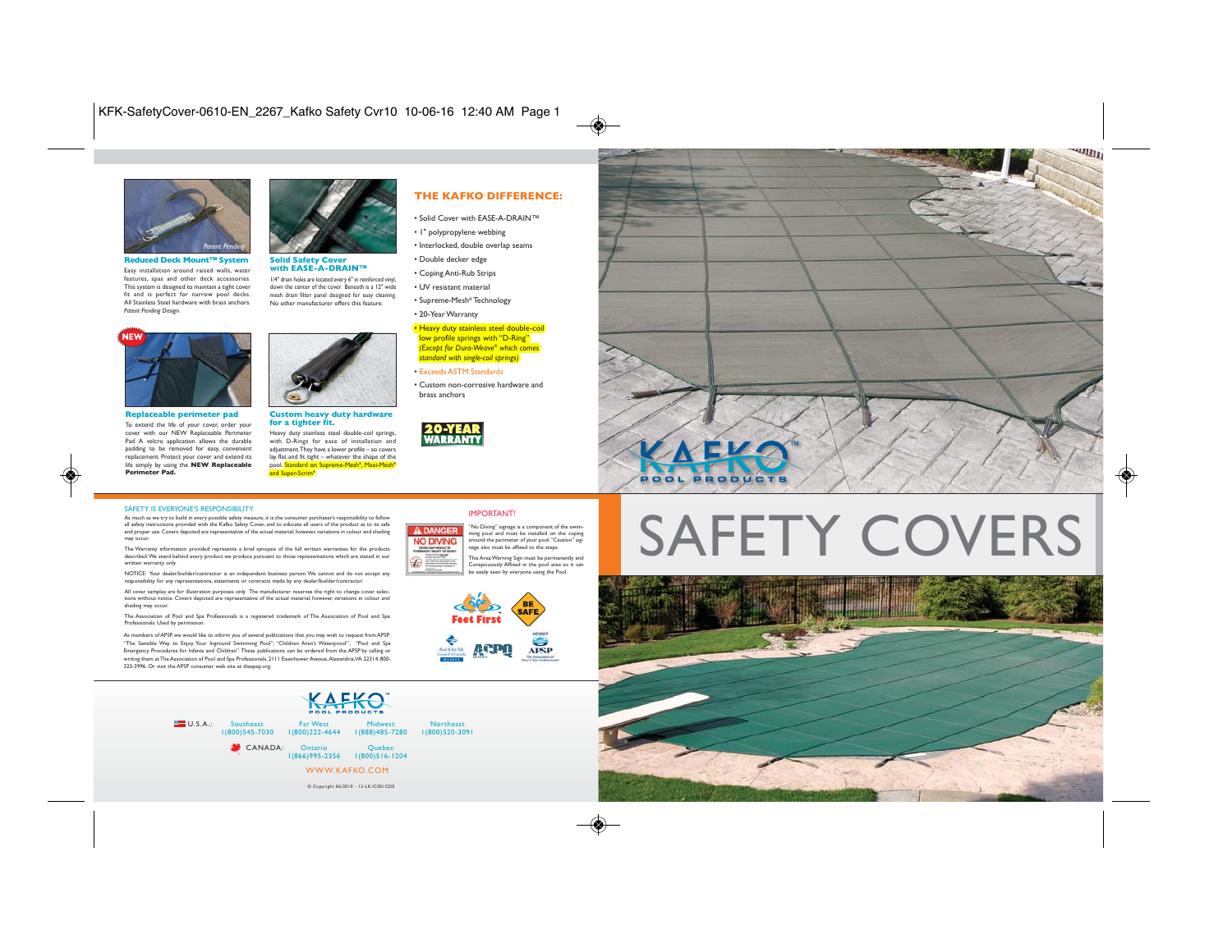

**Reduced Deck Mount™ System**<br>Fasy installation around raised walls water Easy installation around raised walls, water features, spas and other deck accessories. This system is designed to maintain a tight cover fit and is perfect for narrow pool decks. All Stainless Steel hardware with brass anchors. *Patent Pending Design.* 



**Solid Safety Cover with EASE-A-DRAIN™**

1/4" drain holes are located every 6" in reinforced vinyl, down the center of the cover. Beneath is a 12" wide mesh drain filter panel designed for easy cleaning. No other manufacturer offers this feature.



**Replaceable perimeter pad**

To extend the life of your cover, order your cover with our NEW Replaceable Perimeter Pad. A velcro application allows the durable padding to be removed for easy, convenient replacement. Protect your cover and extend its life simply by using the **NEW Replaceable Perimeter Pad.**



### **Custom heavy duty hardware for a tighter fit.**

Heavy duty stainless steel double-coil springs, with D-Rings for ease of installation and adjustment. They have a lower profile – so covers<br>lay flat and fit tight – whatever the shane of the ay flat and fit tight – whatever the shape of the<br>pool. <mark>Standard on Supreme-Mesh®, Maxi-Mesh</mark>® and Super-Scrim®.



- Solid Cover with EASE-A-DRAIN™
- 1" polypropylene webbing
- Interlocked, double overlap seams
- Double decker edge
- Coping Anti-Rub Strips
- UV resistant material
- Supreme-Mesh® Technology
- 20-Year Warranty

### • Heavy duty stainless steel double-coil low profile springs with "D-Ring" *(Except for Dura-Weave® which comes standard with single-coil springs)*

- Exceeds ASTM Standards
- Custom non-corrosive hardware and brass anchors





### SAFETY IS EVERYONE'S RESPONSIBILITY.

As much as we try to build in every possible safety measure, it is the consumer purchaser's responsibility to follow all safety instructions provided with the Kafko Safety Cover, and to educate all users of the product as to its safe and proper use. Covers depicted are representative of the actual material; however, variations in colour and shading may occur.

The Warranty information provided represents a brief synopsis of the full written warranties for the products described. We stand behind every product we produce pursuant to those representations which are stated in our written warranty only.

NOTICE: Your dealer/builder/contractor is an independent business person. We cannot and do not accept any responsibility for any representations, statements or contracts made by any dealer/builder/contractor.

All cover samples are for illustration purposes only. The manufacturer reserves the right to change cover selec<br>tions without notice. Covers depicted are representative of the actual material; however, variations in colour shading may occur.

The Association of Pool and Spa Professionals is a registered trademark of The Association of Pool and Spa Professionals. Used by permission.

As members of APSP, we would like to inform you of several publications that you may wish to request from APSP: "The Sensible Way to Enjoy Your Inground Swimming Pool";"Children Aren't Waterproof"; "Pool and Spa Emergency Procedures for Infants and Children". These publications can be ordered from the APSP by calling or writing them at The Association of Pool and Spa Professionals, 2111 Eisenhower Avenue, Alexandria, VA 22314, 800- 323-3996. Or visit the APSP consumer web site at theapsp.org.





IMPORTANT!

This Area Warning Sign must be permanently and Conspicuously Affixed in the pool area so it can be easily seen by everyone using the Pool.